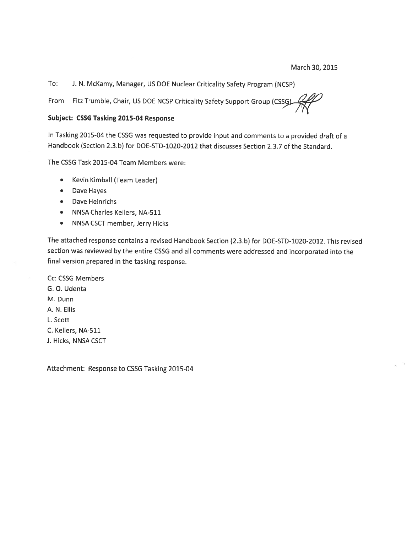To: J. N. McKamy, Manager, US DOE Nuclear Criticality Safety Program (NCSP)

Fitz Trumble, Chair, US DOE NCSP Criticality Safety Support Group (CSSG From

## Subject: CSSG Tasking 2015-04 Response

In Tasking 2015-04 the CSSG was requested to provide input and comments to a provided draft of a Handbook (Section 2.3.b) for DOE-STD-1020-2012 that discusses Section 2.3.7 of the Standard.

The CSSG Task 2015-04 Team Members were:

- Kevin Kimball (Team Leader)  $\bullet$
- Dave Hayes
- Dave Heinrichs
- NNSA Charles Keilers, NA-511
- NNSA CSCT member, Jerry Hicks

The attached response contains a revised Handbook Section (2.3.b) for DOE-STD-1020-2012. This revised section was reviewed by the entire CSSG and all comments were addressed and incorporated into the final version prepared in the tasking response.

Cc: CSSG Members G. O. Udenta M. Dunn A. N. Ellis L. Scott C. Keilers, NA-511 J. Hicks, NNSA CSCT

Attachment: Response to CSSG Tasking 2015-04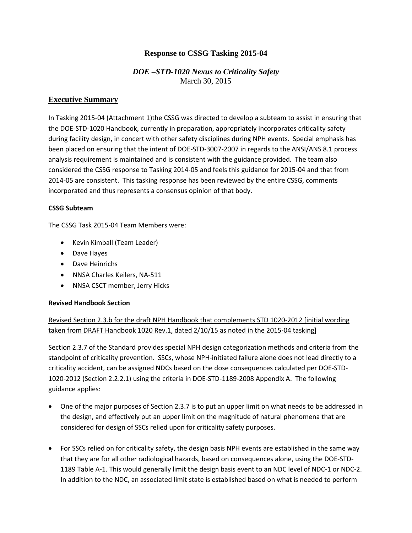# **Response to CSSG Tasking 2015-04**

# *DOE –STD-1020 Nexus to Criticality Safety* March 30, 2015

# **Executive Summary**

In Tasking 2015-04 (Attachment 1)the CSSG was directed to develop a subteam to assist in ensuring that the DOE-STD-1020 Handbook, currently in preparation, appropriately incorporates criticality safety during facility design, in concert with other safety disciplines during NPH events. Special emphasis has been placed on ensuring that the intent of DOE-STD-3007-2007 in regards to the ANSI/ANS 8.1 process analysis requirement is maintained and is consistent with the guidance provided. The team also considered the CSSG response to Tasking 2014-05 and feels this guidance for 2015-04 and that from 2014-05 are consistent. This tasking response has been reviewed by the entire CSSG, comments incorporated and thus represents a consensus opinion of that body.

## **CSSG Subteam**

The CSSG Task 2015-04 Team Members were:

- Kevin Kimball (Team Leader)
- Dave Hayes
- Dave Heinrichs
- NNSA Charles Keilers, NA-511
- NNSA CSCT member, Jerry Hicks

## **Revised Handbook Section**

Revised Section 2.3.b for the draft NPH Handbook that complements STD 1020-2012 [initial wording taken from DRAFT Handbook 1020 Rev.1, dated 2/10/15 as noted in the 2015-04 tasking]

Section 2.3.7 of the Standard provides special NPH design categorization methods and criteria from the standpoint of criticality prevention. SSCs, whose NPH-initiated failure alone does not lead directly to a criticality accident, can be assigned NDCs based on the dose consequences calculated per DOE-STD-1020-2012 (Section 2.2.2.1) using the criteria in DOE-STD-1189-2008 Appendix A. The following guidance applies:

- One of the major purposes of Section 2.3.7 is to put an upper limit on what needs to be addressed in the design, and effectively put an upper limit on the magnitude of natural phenomena that are considered for design of SSCs relied upon for criticality safety purposes.
- For SSCs relied on for criticality safety, the design basis NPH events are established in the same way that they are for all other radiological hazards, based on consequences alone, using the DOE-STD-1189 Table A-1. This would generally limit the design basis event to an NDC level of NDC-1 or NDC-2. In addition to the NDC, an associated limit state is established based on what is needed to perform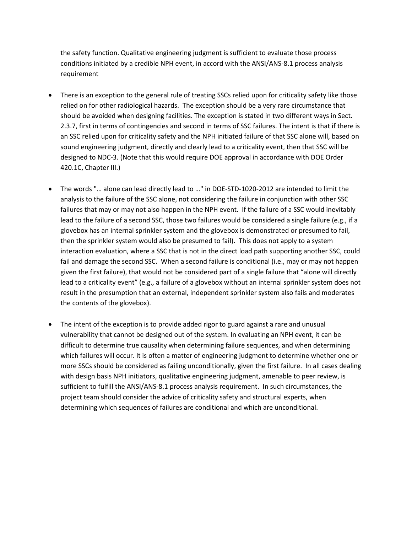the safety function. Qualitative engineering judgment is sufficient to evaluate those process conditions initiated by a credible NPH event, in accord with the ANSI/ANS-8.1 process analysis requirement

- There is an exception to the general rule of treating SSCs relied upon for criticality safety like those relied on for other radiological hazards. The exception should be a very rare circumstance that should be avoided when designing facilities. The exception is stated in two different ways in Sect. 2.3.7, first in terms of contingencies and second in terms of SSC failures. The intent is that if there is an SSC relied upon for criticality safety and the NPH initiated failure of that SSC alone will, based on sound engineering judgment, directly and clearly lead to a criticality event, then that SSC will be designed to NDC-3. (Note that this would require DOE approval in accordance with DOE Order 420.1C, Chapter III.)
- The words "… alone can lead directly lead to …" in DOE-STD-1020-2012 are intended to limit the analysis to the failure of the SSC alone, not considering the failure in conjunction with other SSC failures that may or may not also happen in the NPH event. If the failure of a SSC would inevitably lead to the failure of a second SSC, those two failures would be considered a single failure (e.g., if a glovebox has an internal sprinkler system and the glovebox is demonstrated or presumed to fail, then the sprinkler system would also be presumed to fail). This does not apply to a system interaction evaluation, where a SSC that is not in the direct load path supporting another SSC, could fail and damage the second SSC. When a second failure is conditional (i.e., may or may not happen given the first failure), that would not be considered part of a single failure that "alone will directly lead to a criticality event" (e.g., a failure of a glovebox without an internal sprinkler system does not result in the presumption that an external, independent sprinkler system also fails and moderates the contents of the glovebox).
- The intent of the exception is to provide added rigor to guard against a rare and unusual vulnerability that cannot be designed out of the system. In evaluating an NPH event, it can be difficult to determine true causality when determining failure sequences, and when determining which failures will occur. It is often a matter of engineering judgment to determine whether one or more SSCs should be considered as failing unconditionally, given the first failure. In all cases dealing with design basis NPH initiators, qualitative engineering judgment, amenable to peer review, is sufficient to fulfill the ANSI/ANS-8.1 process analysis requirement. In such circumstances, the project team should consider the advice of criticality safety and structural experts, when determining which sequences of failures are conditional and which are unconditional.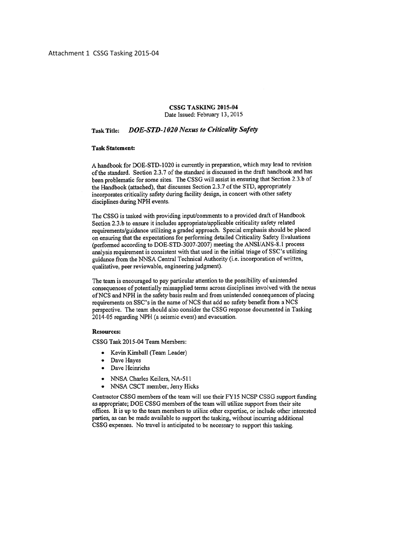#### **CSSG TASKING 2015-04** Date Issued: February 13, 2015

#### **DOE-STD-1020 Nexus to Criticality Safety Task Title:**

### **Task Statement:**

A handbook for DOE-STD-1020 is currently in preparation, which may lead to revision of the standard. Section 2.3.7 of the standard is discussed in the draft handbook and has been problematic for some sites. The CSSG will assist in ensuring that Section 2.3.b of the Handbook (attached), that discusses Section 2.3.7 of the STD, appropriately incorporates criticality safety during facility design, in concert with other safety disciplines during NPH events.

The CSSG is tasked with providing input/comments to a provided draft of Handbook Section 2.3.b to ensure it includes appropriate/applicable criticality safety related requirements/guidance utilizing a graded approach. Special emphasis should be placed on ensuring that the expectations for performing detailed Criticality Safety Evaluations (performed according to DOE-STD-3007-2007) meeting the ANSI/ANS-8.1 process analysis requirement is consistent with that used in the initial triage of SSC's utilizing guidance from the NNSA Central Technical Authority (i.e. incorporation of written, qualitative, peer reviewable, engineering judgment).

The team is encouraged to pay particular attention to the possibility of unintended consequences of potentially missapplied terms across disciplines involved with the nexus of NCS and NPH in the safety basis realm and from unintended consequences of placing requirements on SSC's in the name of NCS that add no safety benefit from a NCS perspective. The team should also consider the CSSG response documented in Tasking 2014-05 regarding NPH (a seismic event) and evacuation.

#### **Resources:**

CSSG Task 2015-04 Team Members:

- Kevin Kimball (Team Leader)
- Dave Hayes
- Dave Heinrichs  $\bullet$
- NNSA Charles Keilers, NA-511
- NNSA CSCT member, Jerry Hicks

Contractor CSSG members of the team will use their FY15 NCSP CSSG support funding as appropriate; DOE CSSG members of the team will utilize support from their site offices. It is up to the team members to utilize other expertise, or include other interested parties, as can be made available to support the tasking, without incurring additional CSSG expenses. No travel is anticipated to be necessary to support this tasking.